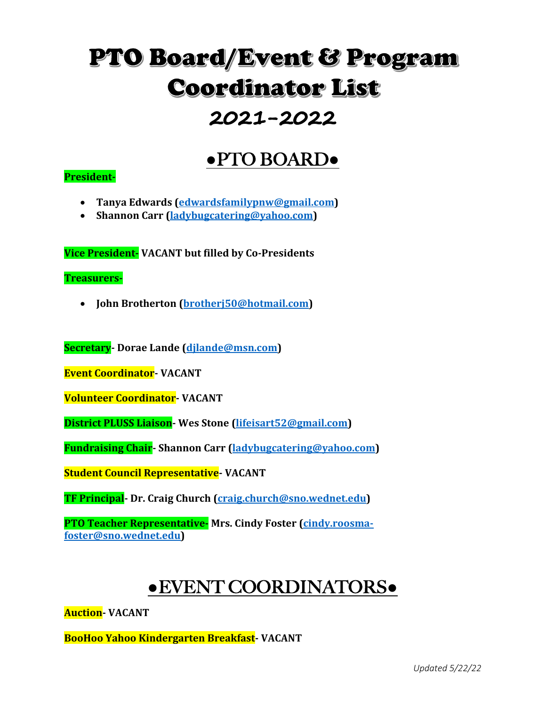# **PTO Board/Event & Program Coordinator List**

## **2021-2022**

### **●**PTO BOARD**●**

#### **President-**

- **Tanya Edwards (edwardsfamilypnw@gmail.com)**
- Shannon Carr (ladybugcatering@yahoo.com)

**Vice President-** VACANT but filled by Co-Presidents

**Treasurers-**

• **John Brotherton (brotherj50@hotmail.com)**

**Secretary**- Dorae Lande (djlande@msn.com)

**Event Coordinator- VACANT** 

**Volunteer Coordinator- VACANT**

**District PLUSS Liaison-** Wes Stone (lifeisart52@gmail.com)

**Fundraising Chair-** Shannon Carr (ladybugcatering@yahoo.com)

**Student Council Representative- VACANT** 

**TF Principal-** Dr. Craig Church (craig.church@sno.wednet.edu)

**PTO Teacher Representative-** Mrs. Cindy Foster (cindy.roosma**foster@sno.wednet.edu)** 

### **●**EVENT COORDINATORS**●**

**Auction- VACANT**

**BooHoo Yahoo Kindergarten Breakfast- VACANT**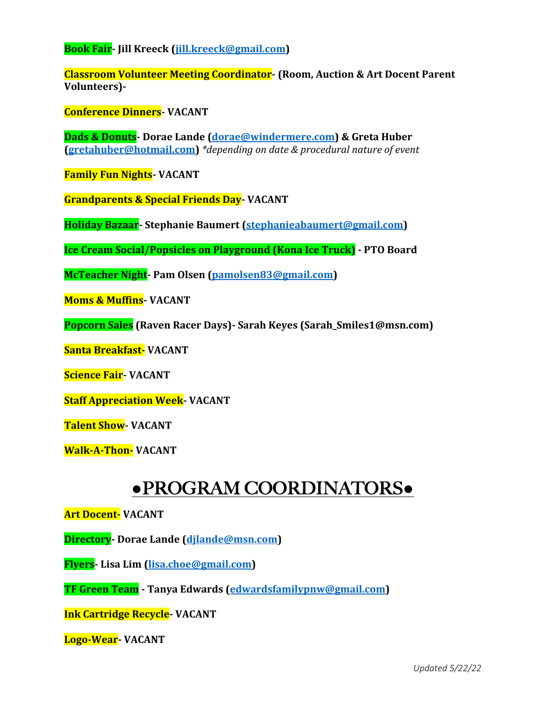**Book Fair- Jill Kreeck (jill.kreeck@gmail.com)** 

**Classroom Volunteer Meeting Coordinator-** (Room, Auction & Art Docent Parent **Volunteers)-**

**Conference Dinners- VACANT**

**Dads & Donuts**- Dorae Lande (dorae@windermere.com) & Greta Huber **(gretahuber@hotmail.com)** \*depending on date & procedural nature of event

**Family Fun Nights- VACANT** 

**Grandparents & Special Friends Day- VACANT**

**Holiday Bazaar-Stephanie Baumert (stephanieabaumert@gmail.com)** 

**Ice Cream Social/Popsicles on Playground (Kona Ice Truck) - PTO Board** 

**McTeacher Night-** Pam Olsen (pamolsen83@gmail.com)

**Moms & Muffins- VACANT**

**Popcorn Sales** (Raven Racer Days)- Sarah Keyes (Sarah\_Smiles1@msn.com)

**Santa Breakfast- VACANT**

**Science Fair- VACANT**

**Staff Appreciation Week- VACANT** 

**Talent Show- VACANT** 

**Walk-A-Thon-** VACANT

#### **●**PROGRAM COORDINATORS**●**

**Art Docent- VACANT**

**Directory**- Dorae Lande (dilande@msn.com)

**Flyers- Lisa Lim (lisa.choe@gmail.com)**

**TF Green Team** - Tanya Edwards (edwardsfamilypnw@gmail.com)

**Ink Cartridge Recycle- VACANT** 

**Logo-Wear- VACANT**